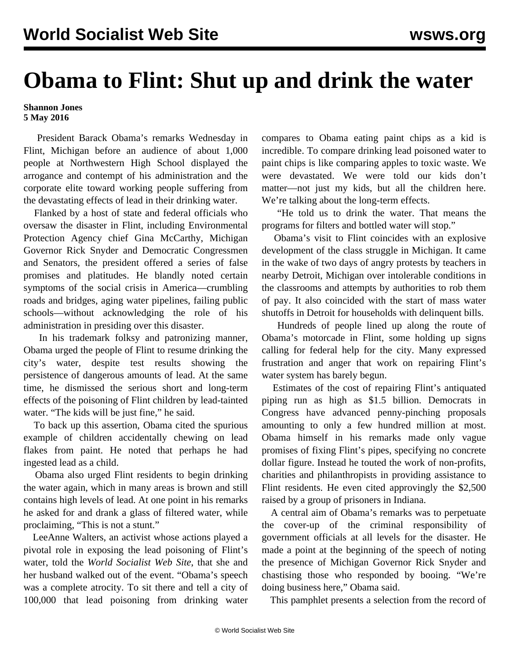## **Obama to Flint: Shut up and drink the water**

## **Shannon Jones 5 May 2016**

 President Barack Obama's remarks Wednesday in Flint, Michigan before an audience of about 1,000 people at Northwestern High School displayed the arrogance and contempt of his administration and the corporate elite toward working people suffering from the devastating effects of lead in their drinking water.

 Flanked by a host of state and federal officials who oversaw the disaster in Flint, including Environmental Protection Agency chief Gina McCarthy, Michigan Governor Rick Snyder and Democratic Congressmen and Senators, the president offered a series of false promises and platitudes. He blandly noted certain symptoms of the social crisis in America—crumbling roads and bridges, aging water pipelines, failing public schools—without acknowledging the role of his administration in presiding over this disaster.

 In his trademark folksy and patronizing manner, Obama urged the people of Flint to resume drinking the city's water, despite test results showing the persistence of dangerous amounts of lead. At the same time, he dismissed the serious short and long-term effects of the poisoning of Flint children by lead-tainted water. "The kids will be just fine," he said.

 To back up this assertion, Obama cited the spurious example of children accidentally chewing on lead flakes from paint. He noted that perhaps he had ingested lead as a child.

 Obama also urged Flint residents to begin drinking the water again, which in many areas is brown and still contains high levels of lead. At one point in his remarks he asked for and drank a glass of filtered water, while proclaiming, "This is not a stunt."

 LeeAnne Walters, an activist whose actions played a pivotal role in exposing the lead poisoning of Flint's water, told the *World Socialist Web Site*, that she and her husband walked out of the event. "Obama's speech was a complete atrocity. To sit there and tell a city of 100,000 that lead poisoning from drinking water

compares to Obama eating paint chips as a kid is incredible. To compare drinking lead poisoned water to paint chips is like comparing apples to toxic waste. We were devastated. We were told our kids don't matter—not just my kids, but all the children here. We're talking about the long-term effects.

 "He told us to drink the water. That means the programs for filters and bottled water will stop."

 Obama's visit to Flint coincides with an explosive development of the class struggle in Michigan. It came in the wake of two days of angry protests by teachers in nearby Detroit, Michigan over intolerable conditions in the classrooms and attempts by authorities to rob them of pay. It also coincided with the start of mass water shutoffs in Detroit for households with delinquent bills.

 Hundreds of people lined up along the route of Obama's motorcade in Flint, some holding up signs calling for federal help for the city. Many expressed frustration and anger that work on repairing Flint's water system has barely begun.

 Estimates of the cost of repairing Flint's antiquated piping run as high as \$1.5 billion. Democrats in Congress have advanced penny-pinching proposals amounting to only a few hundred million at most. Obama himself in his remarks made only vague promises of fixing Flint's pipes, specifying no concrete dollar figure. Instead he touted the work of non-profits, charities and philanthropists in providing assistance to Flint residents. He even cited approvingly the \$2,500 raised by a group of prisoners in Indiana.

 A central aim of Obama's remarks was to perpetuate the cover-up of the criminal responsibility of government officials at all levels for the disaster. He made a point at the beginning of the speech of noting the presence of Michigan Governor Rick Snyder and chastising those who responded by booing. "We're doing business here," Obama said.

This pamphlet presents a selection from the record of